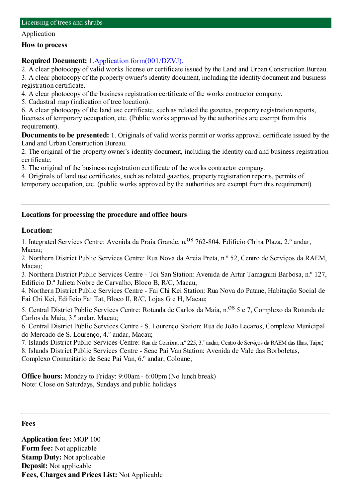#### Application

#### **How to process**

## **Required Document:** 1.Application [form\(001/DZVJ\).](http://www.iam.gov.mo/c/pdf/eformDetail/PDF394)

2. A clear photocopy of valid works license or certificate issued by the Land and Urban Construction Bureau. 3. A clear photocopy of the property owner's identity document, including the identity document and business registration certificate.

4. A clear photocopy of the business registration certificate of the works contractor company.

5. Cadastral map (indication of tree location).

6. A clear photocopy of the land use certificate, such as related the gazettes, property registration reports, licenses of temporary occupation, etc. (Public works approved by the authorities are exempt fromthis requirement).

**Documents to be presented:** 1. Originals of valid works permit or works approval certificate issued by the Land and Urban Construction Bureau.

2. The original of the property owner's identity document, including the identity card and business registration certificate.

3. The original of the business registration certificate of the works contractor company.

4. Originals of land use certificates, such as related gazettes, property registration reports, permits of temporary occupation, etc. (public works approved by the authorities are exempt fromthis requirement)

# **Locations for processing the procedure and office hours**

## **Location:**

1. Integrated Services Centre: Avenida da Praia Grande, n. <sup>08</sup> 762-804, Edifício China Plaza, 2.º andar, Macau;

2. Northern District Public Services Centre: Rua Nova da Areia Preta, n.º 52, Centro de Serviços da RAEM, Macau;

3. Northern District Public Services Centre - Toi San Station: Avenida de Artur Tamagnini Barbosa, n.º 127, Edifício D.ª Julieta Nobre de Carvalho, Bloco B, R/C, Macau;

4. Northern District Public Services Centre - Fai Chi Kei Station: Rua Nova do Patane, Habitação Social de Fai Chi Kei, Edifício Fai Tat, Bloco II, R/C, Lojas G e H, Macau;

5. Central District Public Services Centre: Rotunda de Carlos da Maia, n.<sup>08</sup> 5 e 7, Complexo da Rotunda de Carlos da Maia, 3.º andar, Macau;

6. Central District Public Services Centre - S. Lourenço Station: Rua de João Lecaros, Complexo Municipal do Mercado de S. Lourenço, 4.º andar, Macau;

7. Islands District Public Services Centre: Rua de Coimbra, n.º 225, 3.˚andar, Centro de Serviços da RAEMdas Ilhas, Taipa;

8. Islands District Public Services Centre - Seac Pai Van Station: Avenida de Vale das Borboletas, Complexo Comunitário de Seac Pai Van, 6.º andar, Coloane;

**Office hours:** Monday to Friday: 9:00am - 6:00pm (No lunch break) Note: Close on Saturdays, Sundays and public holidays

#### **Fees**

**Application fee:** MOP 100 **Form fee:** Not applicable **Stamp Duty:** Not applicable **Deposit:** Not applicable **Fees, Charges and Prices List:** Not Applicable